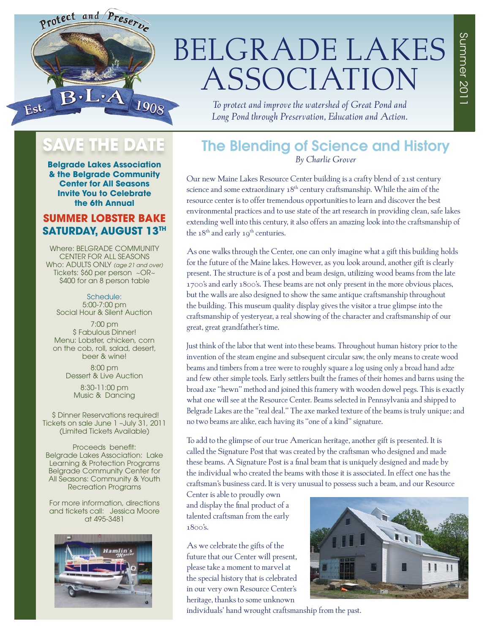

## BELGRADE LAKES ASSOCIATION

*To protect and improve the watershed of Great Pond and Long Pond through Preservation, Education and Action.*

## SAVE THE DATE

**Belgrade Lakes Association & the Belgrade Community Center for All Seasons Invite You to Celebrate the 6th Annual** 

#### **SUMMER LOBSTER BAKE SATURDAY, AUGUST 13TH**

Where: BELGRADE COMMUNITY CENTER FOR ALL SEASONS Who: ADULTS ONLY *(age 21 and over)*  Tickets: \$60 per person ~OR~ \$400 for an 8 person table

Schedule: 5:00-7:00 pm Social Hour & Silent Auction

7:00 pm \$ Fabulous Dinner! Menu: Lobster, chicken, corn on the cob, roll, salad, desert, beer & wine!

> 8:00 pm Dessert & Live Auction

8:30-11:00 pm Music & Dancing

 \$ Dinner Reservations required! Tickets on sale June 1 –July 31, 2011 (Limited Tickets Available)

Proceeds benefit: Belgrade Lakes Association: Lake Learning & Protection Programs Belgrade Community Center for All Seasons: Community & Youth Recreation Programs

For more information, directions and tickets call: Jessica Moore at 495-3481



#### The Blending of Science and History *By Charlie Grover*

Our new Maine Lakes Resource Center building is a crafty blend of 21st century science and some extraordinary 18<sup>th</sup> century craftsmanship. While the aim of the resource center is to offer tremendous opportunities to learn and discover the best environmental practices and to use state of the art research in providing clean, safe lakes extending well into this century, it also offers an amazing look into the craftsmanship of the  $18<sup>th</sup>$  and early  $19<sup>th</sup>$  centuries.

As one walks through the Center, one can only imagine what a gift this building holds for the future of the Maine lakes. However, as you look around, another gift is clearly present. The structure is of a post and beam design, utilizing wood beams from the late 1700's and early 1800's. These beams are not only present in the more obvious places, but the walls are also designed to show the same antique craftsmanship throughout the building. This museum quality display gives the visitor a true glimpse into the craftsmanship of yesteryear, a real showing of the character and craftsmanship of our great, great grandfather's time.

Just think of the labor that went into these beams. Throughout human history prior to the invention of the steam engine and subsequent circular saw, the only means to create wood beams and timbers from a tree were to roughly square a log using only a broad hand adze and few other simple tools. Early settlers built the frames of their homes and barns using the broad axe "hewn" method and joined this framery with wooden dowel pegs. This is exactly what one will see at the Resource Center. Beams selected in Pennsylvania and shipped to Belgrade Lakes are the "real deal." The axe marked texture of the beams is truly unique; and no two beams are alike, each having its "one of a kind" signature.

To add to the glimpse of our true American heritage, another gift is presented. It is called the Signature Post that was created by the craftsman who designed and made these beams. A Signature Post is a final beam that is uniquely designed and made by the individual who created the beams with those it is associated. In effect one has the craftsman's business card. It is very unusual to possess such a beam, and our Resource

Center is able to proudly own and display the final product of a talented craftsman from the early 1800's.

As we celebrate the gifts of the future that our Center will present, please take a moment to marvel at the special history that is celebrated in our very own Resource Center's heritage, thanks to some unknown



individuals' hand wrought craftsmanship from the past.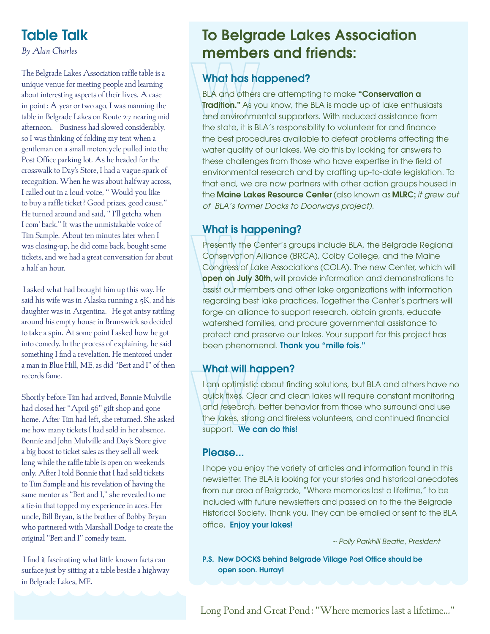## Table Talk

*By Alan Charles*

The Belgrade Lakes Association raffle table is a unique venue for meeting people and learning about interesting aspects of their lives. A case in point: A year or two ago, I was manning the table in Belgrade Lakes on Route 27 nearing mid afternoon. Business had slowed considerably, so I was thinking of folding my tent when a gentleman on a small motorcycle pulled into the Post Office parking lot. As he headed for the crosswalk to Day's Store, I had a vague spark of recognition. When he was about halfway across, I called out in a loud voice, " Would you like to buy a raffle ticket? Good prizes, good cause." He turned around and said, " I'll getcha when I com' back." It was the unmistakable voice of Tim Sample. About ten minutes later when I was closing-up, he did come back, bought some tickets, and we had a great conversation for about a half an hour.

I asked what had brought him up this way. He said his wife was in Alaska running a 5K, and his daughter was in Argentina. He got antsy rattling around his empty house in Brunswick so decided to take a spin. At some point I asked how he got into comedy. In the process of explaining, he said something I find a revelation. He mentored under a man in Blue Hill, ME, as did "Bert and I" of then records fame.

Shortly before Tim had arrived, Bonnie Mulville had closed her "April 56" gift shop and gone home. After Tim had left, she returned. She asked me how many tickets I had sold in her absence. Bonnie and John Mulville and Day's Store give a big boost to ticket sales as they sell all week long while the raffle table is open on weekends only. After I told Bonnie that I had sold tickets to Tim Sample and his revelation of having the same mentor as "Bert and I," she revealed to me a tie-in that topped my experience in aces. Her uncle, Bill Bryan, is the brother of Bobby Bryan who partnered with Marshall Dodge to create the original "Bert and I" comedy team.

I find it fascinating what little known facts can surface just by sitting at a table beside a highway in Belgrade Lakes, ME.

## To Belgrade Lakes Association members and friends:

#### What has happened?

BLA and others are attempting to make "Conservation a **Tradition."** As you know, the BLA is made up of lake enthusiasts and environmental supporters. With reduced assistance from the state, it is BLA's responsibility to volunteer for and finance the best procedures available to defeat problems affecting the water quality of our lakes. We do this by looking for answers to these challenges from those who have expertise in the field of environmental research and by crafting up-to-date legislation. To that end, we are now partners with other action groups housed in the Maine Lakes Resource Center (also known as MLRC; *it grew out of BLA's former Docks to Doorways project).*

#### What is happening?

Presently the Center's groups include BLA, the Belgrade Regional Conservation Alliance (BRCA), Colby College, and the Maine Congress of Lake Associations (COLA). The new Center, which will open on July 30th, will provide information and demonstrations to assist our members and other lake organizations with information regarding best lake practices. Together the Center's partners will forge an alliance to support research, obtain grants, educate watershed families, and procure governmental assistance to protect and preserve our lakes. Your support for this project has been phenomenal. Thank you "mille fois."

#### What will happen?

I am optimistic about finding solutions, but BLA and others have no quick fixes. Clear and clean lakes will require constant monitoring and research, better behavior from those who surround and use the lakes, strong and tireless volunteers, and continued financial support. We can do this!

#### Please...

I hope you enjoy the variety of articles and information found in this newsletter. The BLA is looking for your stories and historical anecdotes from our area of Belgrade, "Where memories last a lifetime," to be included with future newsletters and passed on to the the Belgrade Historical Society. Thank you. They can be emailed or sent to the BLA office. Enjoy your lakes!

*~ Polly Parkhill Beatie, President*

P.S. New DOCKS behind Belgrade Village Post Office should be open soon. Hurray!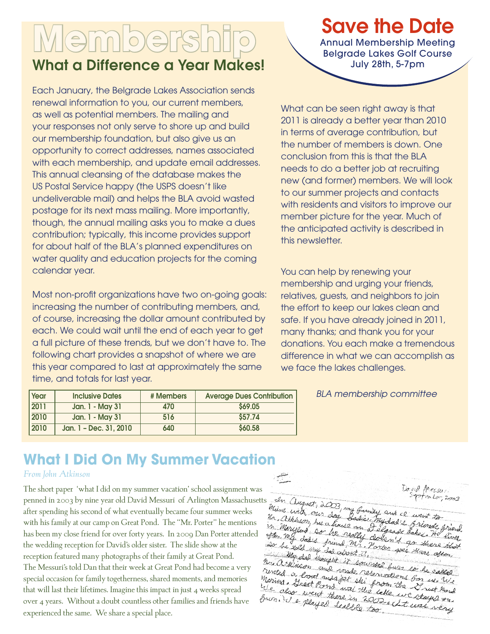# **Mempe**

## What a Difference a Year Makes!

Each January, the Belgrade Lakes Association sends renewal information to you, our current members, as well as potential members. The mailing and your responses not only serve to shore up and build our membership foundation, but also give us an opportunity to correct addresses, names associated with each membership, and update email addresses. This annual cleansing of the database makes the US Postal Service happy (the USPS doesn't like undeliverable mail) and helps the BLA avoid wasted postage for its next mass mailing. More importantly, though, the annual mailing asks you to make a dues contribution; typically, this income provides support for about half of the BLA's planned expenditures on water quality and education projects for the coming calendar year.

Most non-profit organizations have two on-going goals: increasing the number of contributing members, and, of course, increasing the dollar amount contributed by each. We could wait until the end of each year to get a full picture of these trends, but we don't have to. The following chart provides a snapshot of where we are this year compared to last at approximately the same time, and totals for last year.

| <b>Year</b>       | <b>Inclusive Dates</b> | # Members | <b>Average Dues Contribution</b> |
|-------------------|------------------------|-----------|----------------------------------|
| $\overline{2011}$ | Jan. 1 - May 31        | 470       | \$69.05                          |
| 2010              | Jan. 1 - May 31        | 516       | \$57.74                          |
| 2010              | Jan. 1 - Dec. 31, 2010 | 640       | \$60.58                          |

## Save the Date

Annual Membership Meeting Belgrade Lakes Golf Course July 28th, 5-7pm

What can be seen right away is that 2011 is already a better year than 2010 in terms of average contribution, but the number of members is down. One conclusion from this is that the BLA needs to do a better job at recruiting new (and former) members. We will look to our summer projects and contacts with residents and visitors to improve our member picture for the year. Much of the anticipated activity is described in this newsletter.

You can help by renewing your membership and urging your friends, relatives, guests, and neighbors to join the effort to keep our lakes clean and safe. If you have already joined in 2011, many thanks; and thank you for your donations. You each make a tremendous difference in what we can accomplish as we face the lakes challenges.

#### *BLA membership committee*

### **What I Did On My Summer Vacation**

#### *From John Atkinson*

The short paper 'what I did on my summer vacation' school assignment was penned in 2003 by nine year old David Messuri of Arlington Massachusetts after spending his second of what eventually became four summer weeks with his family at our camp on Great Pond. The "Mr. Porter" he mentions has been my close friend for over forty years. In 2009 Dan Porter attended the wedding reception for David's older sister. The slide show at the reception featured many photographs of their family at Great Pond. The Messuri's told Dan that their week at Great Pond had become a very special occasion for family togetherness, shared moments, and memories that will last their lifetimes. Imagine this impact in just 4 weeks spread over 4 years. Without a doubt countless other families and friends have experienced the same. We share a special place.

 $M$ essur In august, 2003, my family and ce went to  $nter, 2003$ Maine with our day Ur, atkinson, has a trouve on I elgrade Sakes to Sadie mydad 1 friends friend in Maryland has a house on I elgrade Lakes, He lives often, my dalis friend, mr. Vorter gels Lakes. He lived<br>at the told ing dalis friend, mr. Vorter gees there the Do he told my day priend, M2. P. My ded thought it sounded furn so he collect.<br>Winson and made reservated furn so he called hre articles thought it sourced fun so be called<br>rented a load and made reservations for we called newled a boat and made reservations for he called<br>Marina, Dreat and sjet shi prom the Drug We<br>We also went there in the lake we stayed on We also went there in 2002 we stayed on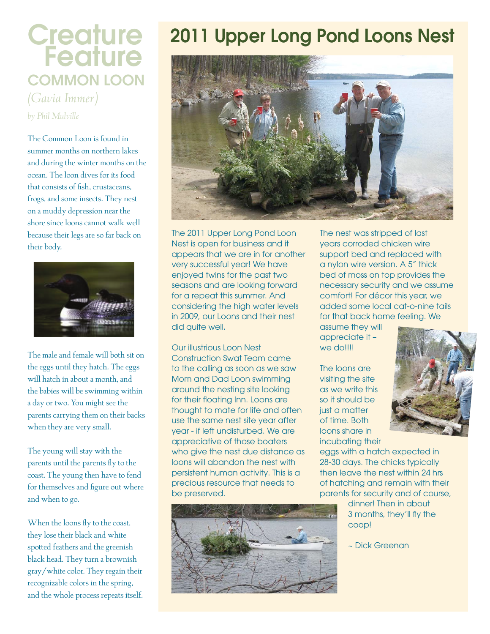## **Creature Feature** COMMON LOON *(Gavia Immer)*

*by Phil Mulville*

The Common Loon is found in summer months on northern lakes and during the winter months on the ocean. The loon dives for its food that consists of fish, crustaceans, frogs, and some insects. They nest on a muddy depression near the shore since loons cannot walk well because their legs are so far back on their body.



The male and female will both sit on the eggs until they hatch. The eggs will hatch in about a month, and the babies will be swimming within a day or two. You might see the parents carrying them on their backs when they are very small.

The young will stay with the parents until the parents fly to the coast. The young then have to fend for themselves and figure out where and when to go.

When the loons fly to the coast, they lose their black and white spotted feathers and the greenish black head. They turn a brownish gray/white color. They regain their recognizable colors in the spring, and the whole process repeats itself.

## 2011 Upper Long Pond Loons Nest



The 2011 Upper Long Pond Loon Nest is open for business and it appears that we are in for another very successful year! We have enjoyed twins for the past two seasons and are looking forward for a repeat this summer. And considering the high water levels in 2009, our Loons and their nest did quite well.

Our illustrious Loon Nest Construction Swat Team came to the calling as soon as we saw Mom and Dad Loon swimming around the nesting site looking for their floating Inn. Loons are thought to mate for life and often use the same nest site year after year - if left undisturbed. We are appreciative of those boaters who give the nest due distance as loons will abandon the nest with persistent human activity. This is a precious resource that needs to be preserved.



The nest was stripped of last years corroded chicken wire support bed and replaced with a nylon wire version. A 5" thick bed of moss on top provides the necessary security and we assume comfort! For décor this year, we added some local cat-o-nine tails for that back home feeling. We

assume they will appreciate it – we do!!!!

The loons are visiting the site as we write this so it should be just a matter of time. Both loons share in incubating their

eggs with a hatch expected in 28-30 days. The chicks typically then leave the nest within 24 hrs of hatching and remain with their parents for security and of course,

> dinner! Then in about 3 months, they'll fly the coop!

~ Dick Greenan

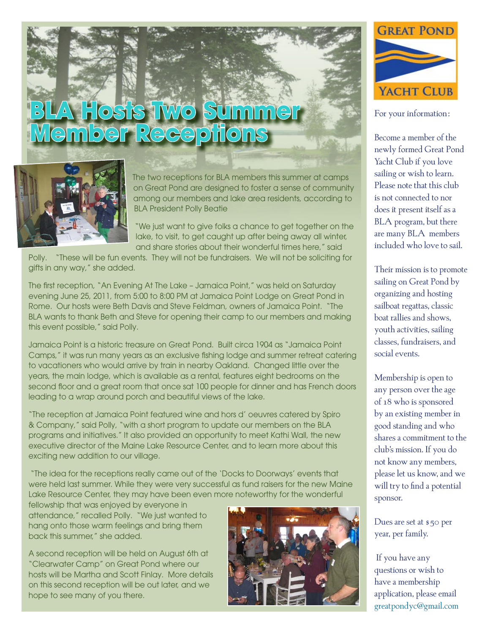# **BLA Hosts Two Summer**<br>Member Receptions



The two receptions for BLA members this summer at camps on Great Pond are designed to foster a sense of community among our members and lake area residents, according to BLA President Polly Beatie

"We just want to give folks a chance to get together on the lake, to visit, to get caught up after being away all winter, and share stories about their wonderful times here," said

Polly. "These will be fun events. They will not be fundraisers. We will not be soliciting for gifts in any way," she added.

The first reception, "An Evening At The Lake – Jamaica Point," was held on Saturday evening June 25, 2011, from 5:00 to 8:00 PM at Jamaica Point Lodge on Great Pond in Rome. Our hosts were Beth Davis and Steve Feldman, owners of Jamaica Point. "The BLA wants to thank Beth and Steve for opening their camp to our members and making this event possible," said Polly.

Jamaica Point is a historic treasure on Great Pond. Built circa 1904 as "Jamaica Point Camps," it was run many years as an exclusive fishing lodge and summer retreat catering to vacationers who would arrive by train in nearby Oakland. Changed little over the years, the main lodge, which is available as a rental, features eight bedrooms on the second floor and a great room that once sat 100 people for dinner and has French doors leading to a wrap around porch and beautiful views of the lake.

"The reception at Jamaica Point featured wine and hors d' oeuvres catered by Spiro & Company," said Polly, "with a short program to update our members on the BLA programs and initiatives." It also provided an opportunity to meet Kathi Wall, the new executive director of the Maine Lake Resource Center, and to learn more about this exciting new addition to our village.

 "The idea for the receptions really came out of the 'Docks to Doorways' events that were held last summer. While they were very successful as fund raisers for the new Maine Lake Resource Center, they may have been even more noteworthy for the wonderful

fellowship that was enjoyed by everyone in attendance," recalled Polly. "We just wanted to hang onto those warm feelings and bring them back this summer," she added.

A second reception will be held on August 6th at "Clearwater Camp" on Great Pond where our hosts will be Martha and Scott Finlay. More details on this second reception will be out later, and we hope to see many of you there.





For your information:

Become a member of the newly formed Great Pond Yacht Club if you love sailing or wish to learn. Please note that this club is not connected to nor does it present itself as a BLA program, but there are many BLA members included who love to sail.

Their mission is to promote sailing on Great Pond by organizing and hosting sailboat regattas, classic boat rallies and shows, youth activities, sailing classes, fundraisers, and social events.

Membership is open to any person over the age of 18 who is sponsored by an existing member in good standing and who shares a commitment to the club's mission. If you do not know any members, please let us know, and we will try to find a potential sponsor.

Dues are set at \$50 per year, per family.

 If you have any questions or wish to have a membership application, please email greatpondyc@gmail.com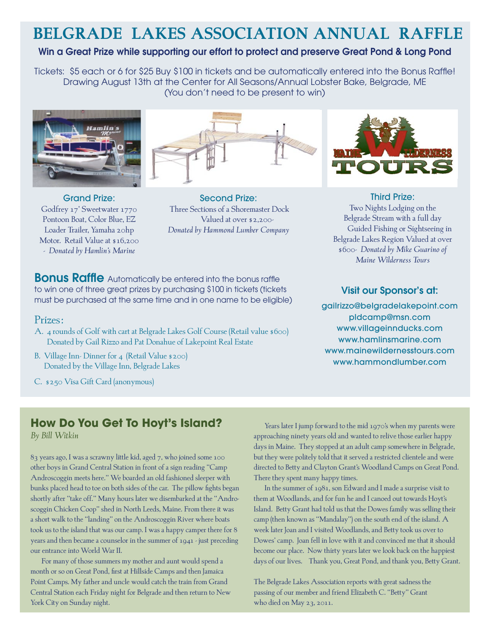## **BELGRADE LAKES ASSOCIATION ANNUAL RAFFLE**

#### Win a Great Prize while supporting our effort to protect and preserve Great Pond & Long Pond

Tickets: \$5 each or 6 for \$25 Buy \$100 in tickets and be automatically entered into the Bonus Raffle! Drawing August 13th at the Center for All Seasons/Annual Lobster Bake, Belgrade, ME (You don't need to be present to win)





- *Donated by Hamlin's Marine*

Second Prize: Three Sections of a Shoremaster Dock Valued at over \$2,200- *Donated by Hammond Lumber Company*

**Bonus Raffle** Automatically be entered into the bonus raffle to win one of three great prizes by purchasing \$100 in tickets (tickets must be purchased at the same time and in one name to be eligible)

#### Prizes:

- A. 4 rounds of Golf with cart at Belgrade Lakes Golf Course (Retail value \$600) Donated by Gail Rizzo and Pat Donahue of Lakepoint Real Estate
- B. Village Inn-Dinner for 4 (Retail Value \$200) Donated by the Village Inn, Belgrade Lakes
- C. \$250 Visa Gift Card (anonymous)



#### Third Prize: Two Nights Lodging on the Belgrade Stream with a full day Guided Fishing or Sightseeing in Belgrade Lakes Region Valued at over \$600- *Donated by Mike Guarino of Maine Wilderness Tours*

#### Visit our Sponsor's at:

gailrizzo@belgradelakepoint.com pldcamp@msn.com www.villageinnducks.com www.hamlinsmarine.com www.mainewildernesstours.com www.hammondlumber.com

#### **How Do You Get To Hoyt's Island?**

*By Bill Witkin*

83 years ago, I was a scrawny little kid, aged 7, who joined some 100 other boys in Grand Central Station in front of a sign reading "Camp Androscoggin meets here." We boarded an old fashioned sleeper with bunks placed head to toe on both sides of the car. The pillow fights began shortly after "take off." Many hours later we disembarked at the "Androscoggin Chicken Coop" shed in North Leeds, Maine. From there it was a short walk to the "landing" on the Androscoggin River where boats took us to the island that was our camp. I was a happy camper there for 8 years and then became a counselor in the summer of 1941 - just preceding our entrance into World War II.

For many of those summers my mother and aunt would spend a month or so on Great Pond, first at Hillside Camps and then Jamaica Point Camps. My father and uncle would catch the train from Grand Central Station each Friday night for Belgrade and then return to New York City on Sunday night.

Years later I jump forward to the mid 1970's when my parents were approaching ninety years old and wanted to relive those earlier happy days in Maine. They stopped at an adult camp somewhere in Belgrade, but they were politely told that it served a restricted clientele and were directed to Betty and Clayton Grant's Woodland Camps on Great Pond. There they spent many happy times.

In the summer of 1981, son Edward and I made a surprise visit to them at Woodlands, and for fun he and I canoed out towards Hoyt's Island. Betty Grant had told us that the Dowes family was selling their camp (then known as "Mandalay") on the south end of the island. A week later Joan and I visited Woodlands, and Betty took us over to Dowes' camp. Joan fell in love with it and convinced me that it should become our place. Now thirty years later we look back on the happiest days of our lives. Thank you, Great Pond, and thank you, Betty Grant.

The Belgrade Lakes Association reports with great sadness the passing of our member and friend Elizabeth C. "Betty" Grant who died on May 23, 2011.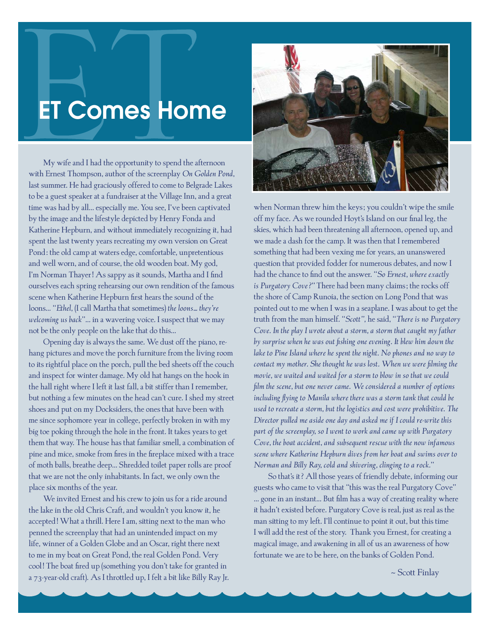## ET Comes Home

My wife and I had the opportunity to spend the afternoon with Ernest Thompson, author of the screenplay *On Golden Pond*, last summer. He had graciously offered to come to Belgrade Lakes to be a guest speaker at a fundraiser at the Village Inn, and a great time was had by all… especially me. You see, I've been captivated by the image and the lifestyle depicted by Henry Fonda and Katherine Hepburn, and without immediately recognizing it, had spent the last twenty years recreating my own version on Great Pond: the old camp at waters edge, comfortable, unpretentious and well worn, and of course, the old wooden boat. My god, I'm Norman Thayer! As sappy as it sounds, Martha and I find ourselves each spring rehearsing our own rendition of the famous scene when Katherine Hepburn first hears the sound of the loons… "*Ethel,* (I call Martha that sometimes) *the loons… they're welcoming us back*"… in a wavering voice. I suspect that we may not be the only people on the lake that do this…

Opening day is always the same. We dust off the piano, rehang pictures and move the porch furniture from the living room to its rightful place on the porch, pull the bed sheets off the couch and inspect for winter damage. My old hat hangs on the hook in the hall right where I left it last fall, a bit stiffer than I remember, but nothing a few minutes on the head can't cure. I shed my street shoes and put on my Docksiders, the ones that have been with me since sophomore year in college, perfectly broken in with my big toe poking through the hole in the front. It takes years to get them that way. The house has that familiar smell, a combination of pine and mice, smoke from fires in the fireplace mixed with a trace of moth balls, breathe deep… Shredded toilet paper rolls are proof that we are not the only inhabitants. In fact, we only own the place six months of the year.

We invited Ernest and his crew to join us for a ride around the lake in the old Chris Craft, and wouldn't you know it, he accepted! What a thrill. Here I am, sitting next to the man who penned the screenplay that had an unintended impact on my life, winner of a Golden Globe and an Oscar, right there next to me in my boat on Great Pond, the real Golden Pond. Very cool! The boat fired up (something you don't take for granted in a 73-year-old craft). As I throttled up, I felt a bit like Billy Ray Jr.



when Norman threw him the keys; you couldn't wipe the smile off my face. As we rounded Hoyt's Island on our final leg, the skies, which had been threatening all afternoon, opened up, and we made a dash for the camp. It was then that I remembered something that had been vexing me for years, an unanswered question that provided fodder for numerous debates, and now I had the chance to find out the answer. "*So Ernest, where exactly is Purgatory Cove?"* There had been many claims; the rocks off the shore of Camp Runoia, the section on Long Pond that was pointed out to me when I was in a seaplane. I was about to get the truth from the man himself. "*Scott",* he said, "*There is no Purgatory Cove*. *In the play I wrote about a storm, a storm that caught my father by surprise when he was out fishing one evening. It blew him down the lake to Pine Island where he spent the night. No phones and no way to contact my mother. She thought he was lost. When we were filming the movie, we waited and waited for a storm to blow in so that we could film the scene, but one never came. We considered a number of options including flying to Manila where there was a storm tank that could be used to recreate a storm, but the logistics and cost were prohibitive. The Director pulled me aside one day and asked me if I could re-write this part of the screenplay, so I went to work and came up with Purgatory Cove, the boat accident, and subsequent rescue with the now infamous scene where Katherine Hepburn dives from her boat and swims over to Norman and Billy Ray, cold and shivering, clinging to a rock.*"

So that's it? All those years of friendly debate, informing our guests who came to visit that "this was the real Purgatory Cove" … gone in an instant... But film has a way of creating reality where it hadn't existed before. Purgatory Cove is real, just as real as the man sitting to my left. I'll continue to point it out, but this time I will add the rest of the story. Thank you Ernest, for creating a magical image, and awakening in all of us an awareness of how fortunate we are to be here, on the banks of Golden Pond.

~ Scott Finlay